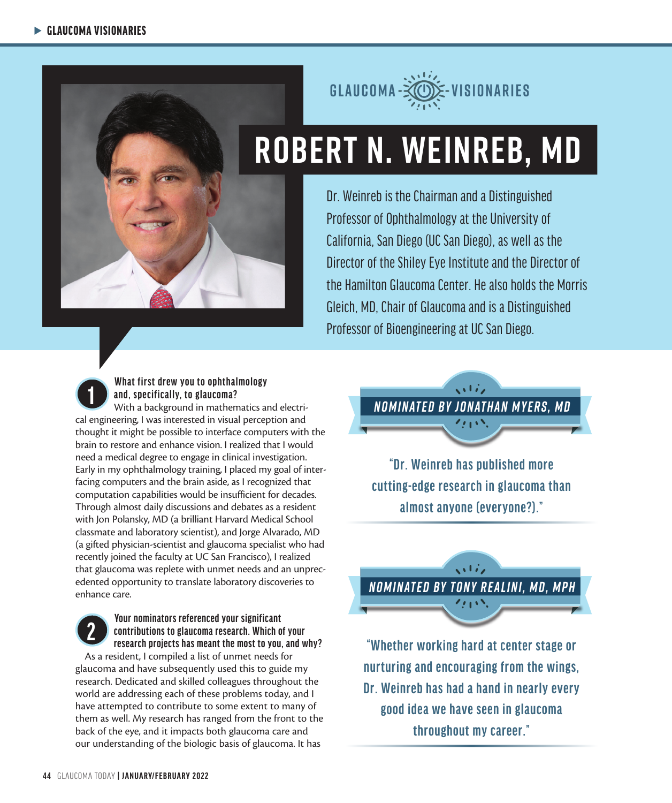



# **ROBERT N. WEINREB, MD**

Dr. Weinreb is the Chairman and a Distinguished Professor of Ophthalmology at the University of California, San Diego (UC San Diego), as well as the Director of the Shiley Eye Institute and the Director of the Hamilton Glaucoma Center. He also holds the Morris Gleich, MD, Chair of Glaucoma and is a Distinguished Professor of Bioengineering at UC San Diego.

### **1 What first drew you to ophthalmology and, specifically, to glaucoma?**

With a background in mathematics and electrical engineering, I was interested in visual perception and thought it might be possible to interface computers with the brain to restore and enhance vision. I realized that I would need a medical degree to engage in clinical investigation. Early in my ophthalmology training, I placed my goal of interfacing computers and the brain aside, as I recognized that computation capabilities would be insufficient for decades. Through almost daily discussions and debates as a resident with Jon Polansky, MD (a brilliant Harvard Medical School classmate and laboratory scientist), and Jorge Alvarado, MD (a gifted physician-scientist and glaucoma specialist who had recently joined the faculty at UC San Francisco), I realized that glaucoma was replete with unmet needs and an unprecedented opportunity to translate laboratory discoveries to enhance care.

## **2 2 P Your nominators referenced your significant contributions to glaucoma research. Which or research projects has meant the most to you contributions to glaucoma research. Which of your research projects has meant the most to you, and why?**

As a resident, I compiled a list of unmet needs for glaucoma and have subsequently used this to guide my research. Dedicated and skilled colleagues throughout the world are addressing each of these problems today, and I have attempted to contribute to some extent to many of them as well. My research has ranged from the front to the back of the eye, and it impacts both glaucoma care and our understanding of the biologic basis of glaucoma. It has



**"Dr. Weinreb has published more cutting-edge research in glaucoma than almost anyone (everyone?)."**

 $\sqrt{1/\epsilon}$ *NOMINATED BY TONY REALINI, MD, MPH*

**"Whether working hard at center stage or nurturing and encouraging from the wings, Dr. Weinreb has had a hand in nearly every good idea we have seen in glaucoma throughout my career."**